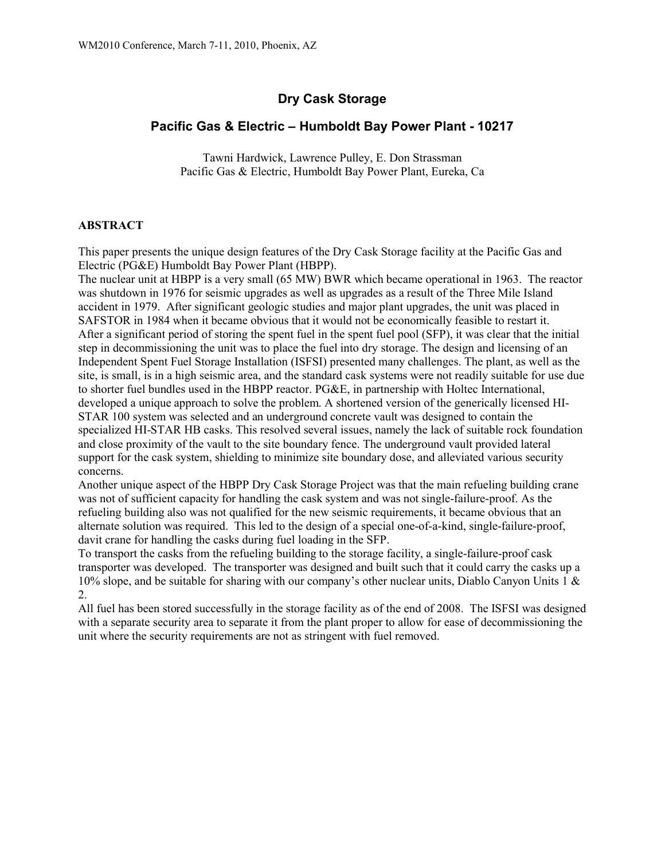# **Dry Cask Storage**

## **Pacific Gas & Electric – Humboldt Bay Power Plant - 10217**

Tawni Hardwick, Lawrence Pulley, E. Don Strassman Pacific Gas & Electric, Humboldt Bay Power Plant, Eureka, Ca

### **ABSTRACT**

This paper presents the unique design features of the Dry Cask Storage facility at the Pacific Gas and Electric (PG&E) Humboldt Bay Power Plant (HBPP).

The nuclear unit at HBPP is a very small (65 MW) BWR which became operational in 1963. The reactor was shutdown in 1976 for seismic upgrades as well as upgrades as a result of the Three Mile Island accident in 1979. After significant geologic studies and major plant upgrades, the unit was placed in SAFSTOR in 1984 when it became obvious that it would not be economically feasible to restart it. After a significant period of storing the spent fuel in the spent fuel pool (SFP), it was clear that the initial step in decommissioning the unit was to place the fuel into dry storage. The design and licensing of an Independent Spent Fuel Storage Installation (ISFSI) presented many challenges. The plant, as well as the site, is small, is in a high seismic area, and the standard cask systems were not readily suitable for use due to shorter fuel bundles used in the HBPP reactor. PG&E, in partnership with Holtec International, developed a unique approach to solve the problem. A shortened version of the generically licensed HI-STAR 100 system was selected and an underground concrete vault was designed to contain the specialized HI-STAR HB casks. This resolved several issues, namely the lack of suitable rock foundation and close proximity of the vault to the site boundary fence. The underground vault provided lateral support for the cask system, shielding to minimize site boundary dose, and alleviated various security concerns.

Another unique aspect of the HBPP Dry Cask Storage Project was that the main refueling building crane was not of sufficient capacity for handling the cask system and was not single-failure-proof. As the refueling building also was not qualified for the new seismic requirements, it became obvious that an alternate solution was required. This led to the design of a special one-of-a-kind, single-failure-proof, davit crane for handling the casks during fuel loading in the SFP.

To transport the casks from the refueling building to the storage facility, a single-failure-proof cask transporter was developed. The transporter was designed and built such that it could carry the casks up a 10% slope, and be suitable for sharing with our company's other nuclear units, Diablo Canyon Units 1 & 2.

All fuel has been stored successfully in the storage facility as of the end of 2008. The ISFSI was designed with a separate security area to separate it from the plant proper to allow for ease of decommissioning the unit where the security requirements are not as stringent with fuel removed.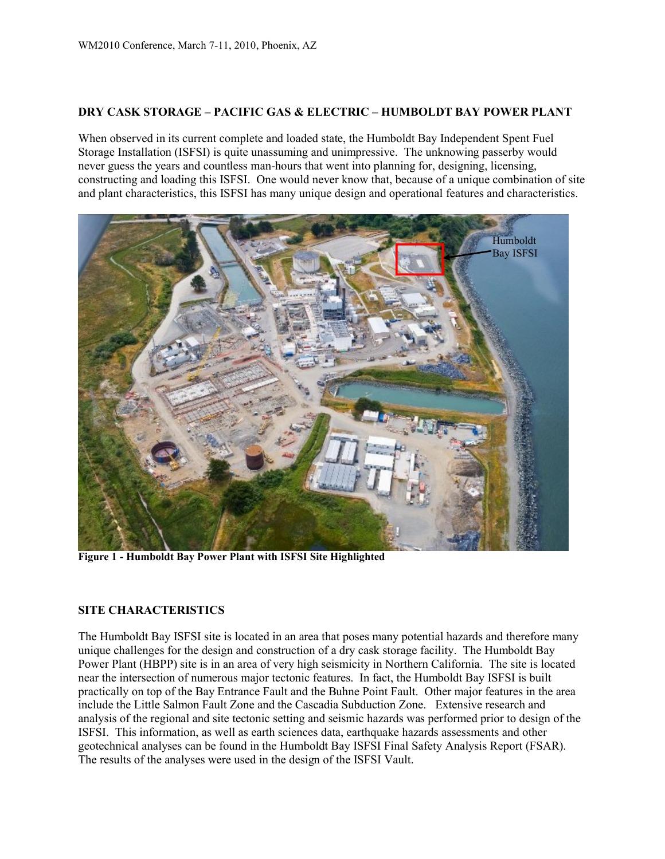#### **DRY CASK STORAGE – PACIFIC GAS & ELECTRIC – HUMBOLDT BAY POWER PLANT**

When observed in its current complete and loaded state, the Humboldt Bay Independent Spent Fuel Storage Installation (ISFSI) is quite unassuming and unimpressive. The unknowing passerby would never guess the years and countless man-hours that went into planning for, designing, licensing, constructing and loading this ISFSI. One would never know that, because of a unique combination of site and plant characteristics, this ISFSI has many unique design and operational features and characteristics.



**Figure 1 - Humboldt Bay Power Plant with ISFSI Site Highlighted**

#### **SITE CHARACTERISTICS**

The Humboldt Bay ISFSI site is located in an area that poses many potential hazards and therefore many unique challenges for the design and construction of a dry cask storage facility. The Humboldt Bay Power Plant (HBPP) site is in an area of very high seismicity in Northern California. The site is located near the intersection of numerous major tectonic features. In fact, the Humboldt Bay ISFSI is built practically on top of the Bay Entrance Fault and the Buhne Point Fault. Other major features in the area include the Little Salmon Fault Zone and the Cascadia Subduction Zone. Extensive research and analysis of the regional and site tectonic setting and seismic hazards was performed prior to design of the ISFSI. This information, as well as earth sciences data, earthquake hazards assessments and other geotechnical analyses can be found in the Humboldt Bay ISFSI Final Safety Analysis Report (FSAR). The results of the analyses were used in the design of the ISFSI Vault.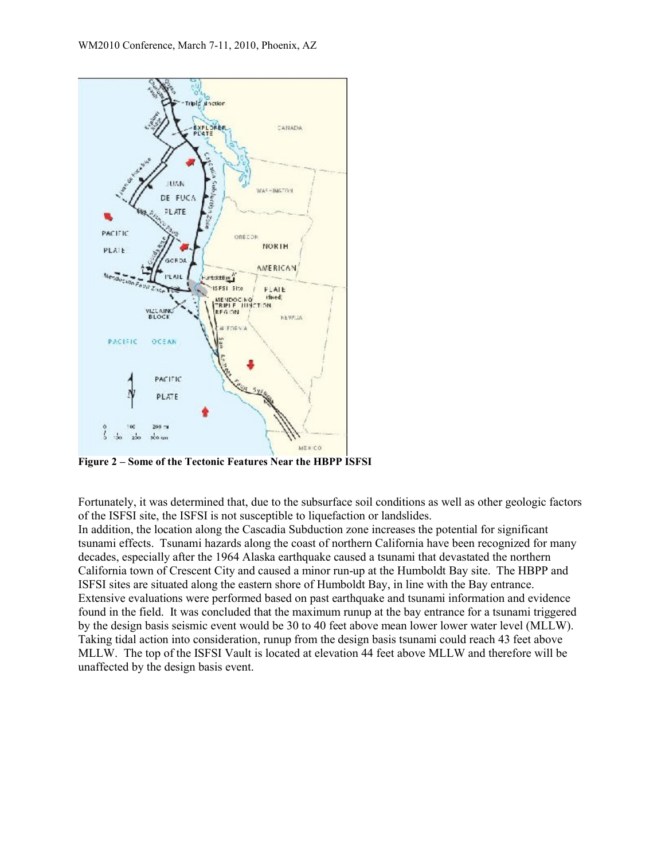

**Figure 2 – Some of the Tectonic Features Near the HBPP ISFSI**

Fortunately, it was determined that, due to the subsurface soil conditions as well as other geologic factors of the ISFSI site, the ISFSI is not susceptible to liquefaction or landslides.

In addition, the location along the Cascadia Subduction zone increases the potential for significant tsunami effects. Tsunami hazards along the coast of northern California have been recognized for many decades, especially after the 1964 Alaska earthquake caused a tsunami that devastated the northern California town of Crescent City and caused a minor run-up at the Humboldt Bay site. The HBPP and ISFSI sites are situated along the eastern shore of Humboldt Bay, in line with the Bay entrance. Extensive evaluations were performed based on past earthquake and tsunami information and evidence found in the field. It was concluded that the maximum runup at the bay entrance for a tsunami triggered by the design basis seismic event would be 30 to 40 feet above mean lower lower water level (MLLW). Taking tidal action into consideration, runup from the design basis tsunami could reach 43 feet above MLLW. The top of the ISFSI Vault is located at elevation 44 feet above MLLW and therefore will be unaffected by the design basis event.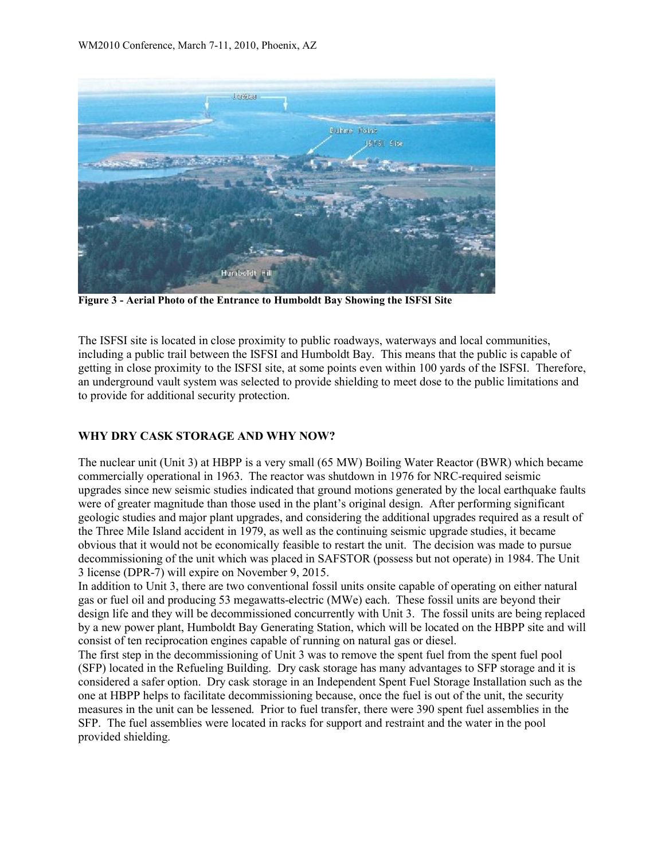

**Figure 3 - Aerial Photo of the Entrance to Humboldt Bay Showing the ISFSI Site**

The ISFSI site is located in close proximity to public roadways, waterways and local communities, including a public trail between the ISFSI and Humboldt Bay. This means that the public is capable of getting in close proximity to the ISFSI site, at some points even within 100 yards of the ISFSI. Therefore, an underground vault system was selected to provide shielding to meet dose to the public limitations and to provide for additional security protection.

## **WHY DRY CASK STORAGE AND WHY NOW?**

The nuclear unit (Unit 3) at HBPP is a very small (65 MW) Boiling Water Reactor (BWR) which became commercially operational in 1963. The reactor was shutdown in 1976 for NRC-required seismic upgrades since new seismic studies indicated that ground motions generated by the local earthquake faults were of greater magnitude than those used in the plant's original design. After performing significant geologic studies and major plant upgrades, and considering the additional upgrades required as a result of the Three Mile Island accident in 1979, as well as the continuing seismic upgrade studies, it became obvious that it would not be economically feasible to restart the unit. The decision was made to pursue decommissioning of the unit which was placed in SAFSTOR (possess but not operate) in 1984. The Unit 3 license (DPR-7) will expire on November 9, 2015.

In addition to Unit 3, there are two conventional fossil units onsite capable of operating on either natural gas or fuel oil and producing 53 megawatts-electric (MWe) each. These fossil units are beyond their design life and they will be decommissioned concurrently with Unit 3. The fossil units are being replaced by a new power plant, Humboldt Bay Generating Station, which will be located on the HBPP site and will consist of ten reciprocation engines capable of running on natural gas or diesel.

The first step in the decommissioning of Unit 3 was to remove the spent fuel from the spent fuel pool (SFP) located in the Refueling Building. Dry cask storage has many advantages to SFP storage and it is considered a safer option. Dry cask storage in an Independent Spent Fuel Storage Installation such as the one at HBPP helps to facilitate decommissioning because, once the fuel is out of the unit, the security measures in the unit can be lessened. Prior to fuel transfer, there were 390 spent fuel assemblies in the SFP. The fuel assemblies were located in racks for support and restraint and the water in the pool provided shielding.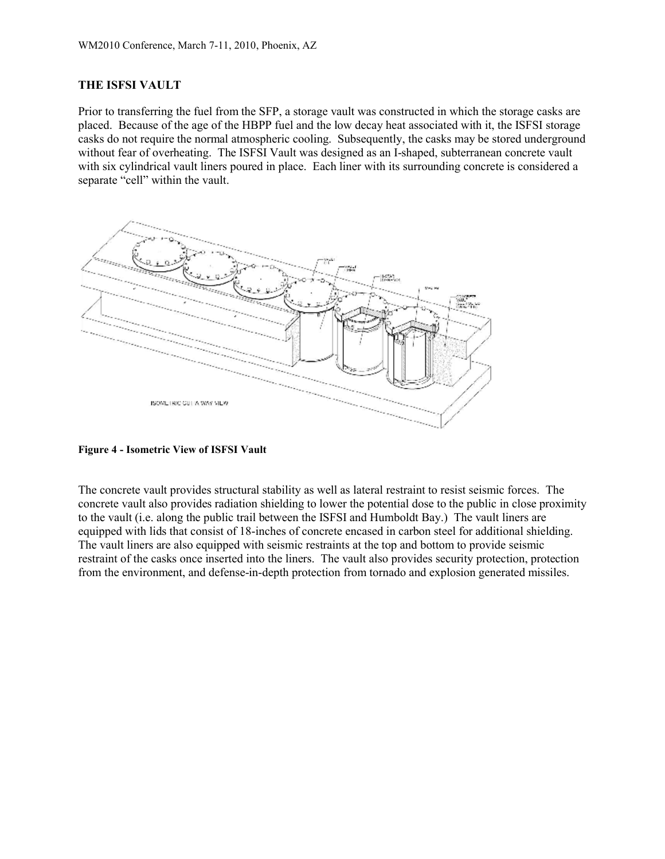#### **THE ISFSI VAULT**

Prior to transferring the fuel from the SFP, a storage vault was constructed in which the storage casks are placed. Because of the age of the HBPP fuel and the low decay heat associated with it, the ISFSI storage casks do not require the normal atmospheric cooling. Subsequently, the casks may be stored underground without fear of overheating. The ISFSI Vault was designed as an I-shaped, subterranean concrete vault with six cylindrical vault liners poured in place. Each liner with its surrounding concrete is considered a separate "cell" within the vault.



**Figure 4 - Isometric View of ISFSI Vault**

The concrete vault provides structural stability as well as lateral restraint to resist seismic forces. The concrete vault also provides radiation shielding to lower the potential dose to the public in close proximity to the vault (i.e. along the public trail between the ISFSI and Humboldt Bay.) The vault liners are equipped with lids that consist of 18-inches of concrete encased in carbon steel for additional shielding. The vault liners are also equipped with seismic restraints at the top and bottom to provide seismic restraint of the casks once inserted into the liners. The vault also provides security protection, protection from the environment, and defense-in-depth protection from tornado and explosion generated missiles.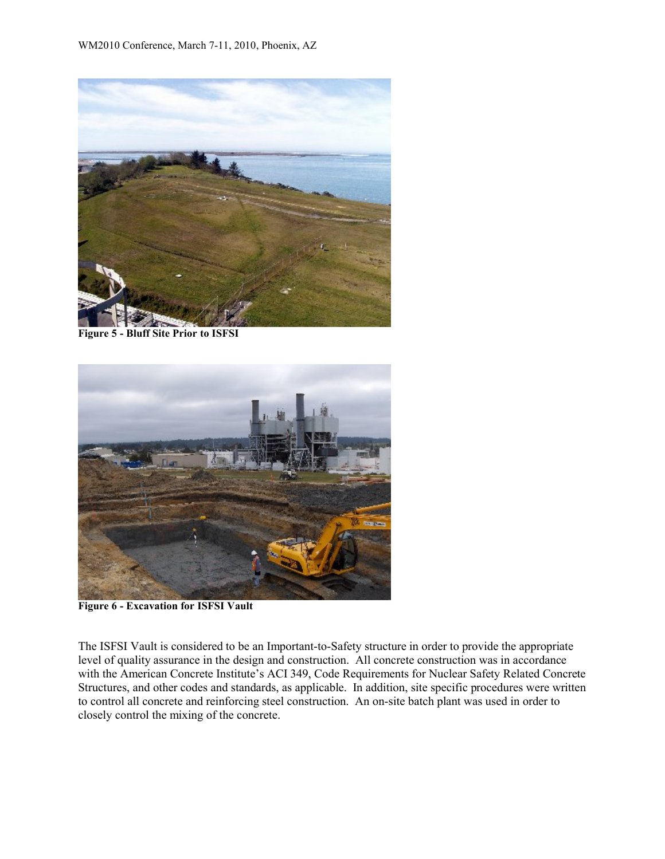

**Figure 5 - Bluff Site Prior to ISFSI**



**Figure 6 - Excavation for ISFSI Vault**

The ISFSI Vault is considered to be an Important-to-Safety structure in order to provide the appropriate level of quality assurance in the design and construction. All concrete construction was in accordance with the American Concrete Institute's ACI 349, Code Requirements for Nuclear Safety Related Concrete Structures, and other codes and standards, as applicable. In addition, site specific procedures were written to control all concrete and reinforcing steel construction. An on-site batch plant was used in order to closely control the mixing of the concrete.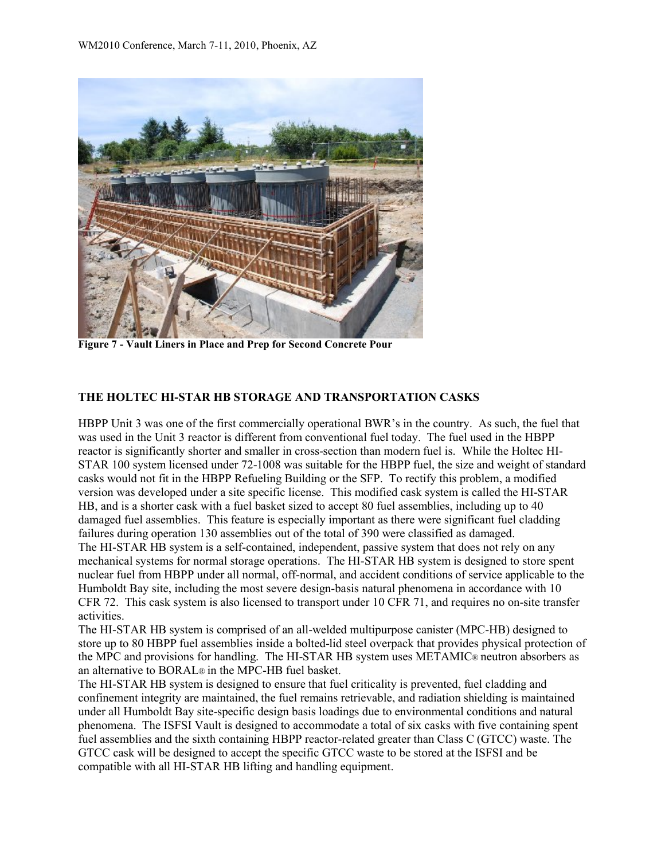

**Figure 7 - Vault Liners in Place and Prep for Second Concrete Pour**

### **THE HOLTEC HI-STAR HB STORAGE AND TRANSPORTATION CASKS**

HBPP Unit 3 was one of the first commercially operational BWR's in the country. As such, the fuel that was used in the Unit 3 reactor is different from conventional fuel today. The fuel used in the HBPP reactor is significantly shorter and smaller in cross-section than modern fuel is. While the Holtec HI-STAR 100 system licensed under 72-1008 was suitable for the HBPP fuel, the size and weight of standard casks would not fit in the HBPP Refueling Building or the SFP. To rectify this problem, a modified version was developed under a site specific license. This modified cask system is called the HI-STAR HB, and is a shorter cask with a fuel basket sized to accept 80 fuel assemblies, including up to 40 damaged fuel assemblies. This feature is especially important as there were significant fuel cladding failures during operation 130 assemblies out of the total of 390 were classified as damaged. The HI-STAR HB system is a self-contained, independent, passive system that does not rely on any mechanical systems for normal storage operations. The HI-STAR HB system is designed to store spent nuclear fuel from HBPP under all normal, off-normal, and accident conditions of service applicable to the Humboldt Bay site, including the most severe design-basis natural phenomena in accordance with 10 CFR 72. This cask system is also licensed to transport under 10 CFR 71, and requires no on-site transfer activities.

The HI-STAR HB system is comprised of an all-welded multipurpose canister (MPC-HB) designed to store up to 80 HBPP fuel assemblies inside a bolted-lid steel overpack that provides physical protection of the MPC and provisions for handling. The HI-STAR HB system uses METAMIC® neutron absorbers as an alternative to BORAL® in the MPC-HB fuel basket.

The HI-STAR HB system is designed to ensure that fuel criticality is prevented, fuel cladding and confinement integrity are maintained, the fuel remains retrievable, and radiation shielding is maintained under all Humboldt Bay site-specific design basis loadings due to environmental conditions and natural phenomena. The ISFSI Vault is designed to accommodate a total of six casks with five containing spent fuel assemblies and the sixth containing HBPP reactor-related greater than Class C (GTCC) waste. The GTCC cask will be designed to accept the specific GTCC waste to be stored at the ISFSI and be compatible with all HI-STAR HB lifting and handling equipment.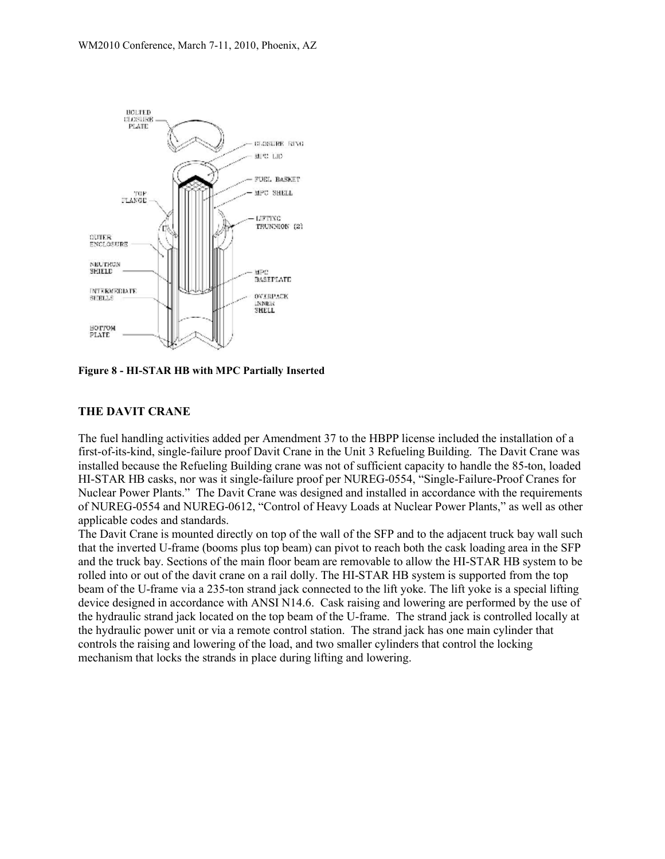

**Figure 8 - HI-STAR HB with MPC Partially Inserted**

## **THE DAVIT CRANE**

The fuel handling activities added per Amendment 37 to the HBPP license included the installation of a first-of-its-kind, single-failure proof Davit Crane in the Unit 3 Refueling Building. The Davit Crane was installed because the Refueling Building crane was not of sufficient capacity to handle the 85-ton, loaded HI-STAR HB casks, nor was it single-failure proof per NUREG-0554, "Single-Failure-Proof Cranes for Nuclear Power Plants." The Davit Crane was designed and installed in accordance with the requirements of NUREG-0554 and NUREG-0612, "Control of Heavy Loads at Nuclear Power Plants," as well as other applicable codes and standards.

The Davit Crane is mounted directly on top of the wall of the SFP and to the adjacent truck bay wall such that the inverted U-frame (booms plus top beam) can pivot to reach both the cask loading area in the SFP and the truck bay. Sections of the main floor beam are removable to allow the HI-STAR HB system to be rolled into or out of the davit crane on a rail dolly. The HI-STAR HB system is supported from the top beam of the U-frame via a 235-ton strand jack connected to the lift yoke. The lift yoke is a special lifting device designed in accordance with ANSI N14.6. Cask raising and lowering are performed by the use of the hydraulic strand jack located on the top beam of the U-frame. The strand jack is controlled locally at the hydraulic power unit or via a remote control station. The strand jack has one main cylinder that controls the raising and lowering of the load, and two smaller cylinders that control the locking mechanism that locks the strands in place during lifting and lowering.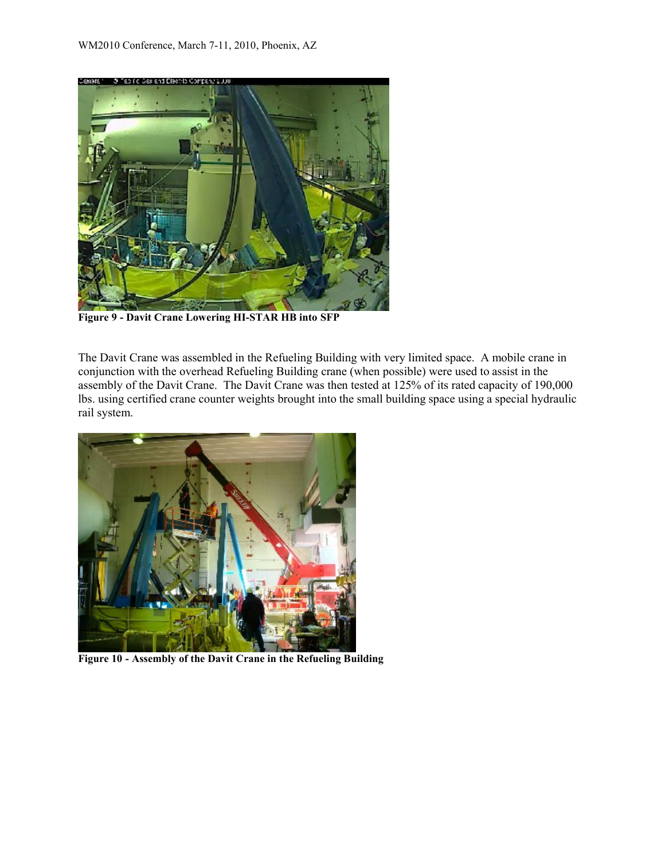![](_page_8_Picture_1.jpeg)

**Figure 9 - Davit Crane Lowering HI-STAR HB into SFP**

The Davit Crane was assembled in the Refueling Building with very limited space. A mobile crane in conjunction with the overhead Refueling Building crane (when possible) were used to assist in the assembly of the Davit Crane. The Davit Crane was then tested at 125% of its rated capacity of 190,000 lbs. using certified crane counter weights brought into the small building space using a special hydraulic rail system.

![](_page_8_Picture_4.jpeg)

**Figure 10 - Assembly of the Davit Crane in the Refueling Building**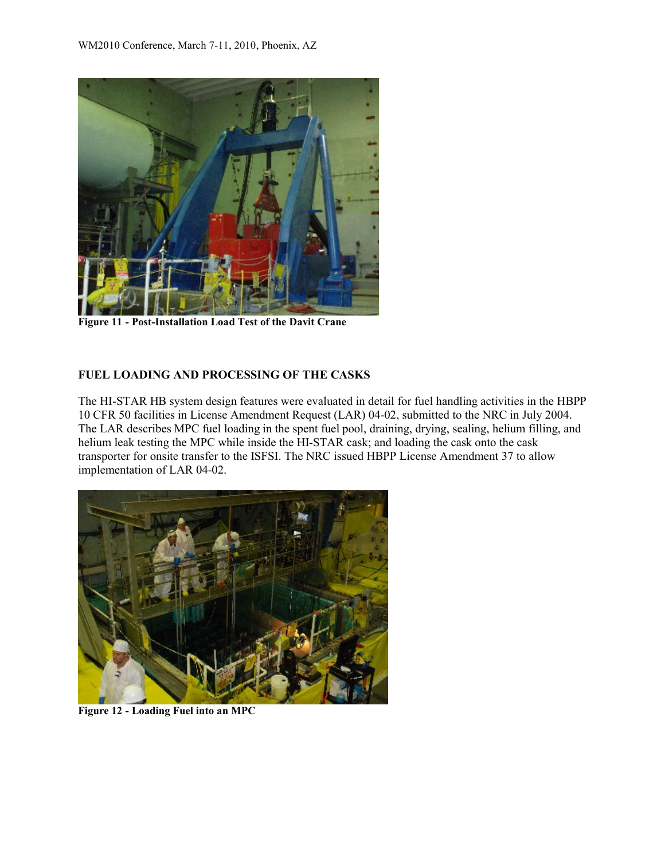![](_page_9_Picture_1.jpeg)

**Figure 11 - Post-Installation Load Test of the Davit Crane**

#### **FUEL LOADING AND PROCESSING OF THE CASKS**

The HI-STAR HB system design features were evaluated in detail for fuel handling activities in the HBPP 10 CFR 50 facilities in License Amendment Request (LAR) 04-02, submitted to the NRC in July 2004. The LAR describes MPC fuel loading in the spent fuel pool, draining, drying, sealing, helium filling, and helium leak testing the MPC while inside the HI-STAR cask; and loading the cask onto the cask transporter for onsite transfer to the ISFSI. The NRC issued HBPP License Amendment 37 to allow implementation of LAR 04-02.

![](_page_9_Picture_5.jpeg)

**Figure 12 - Loading Fuel into an MPC**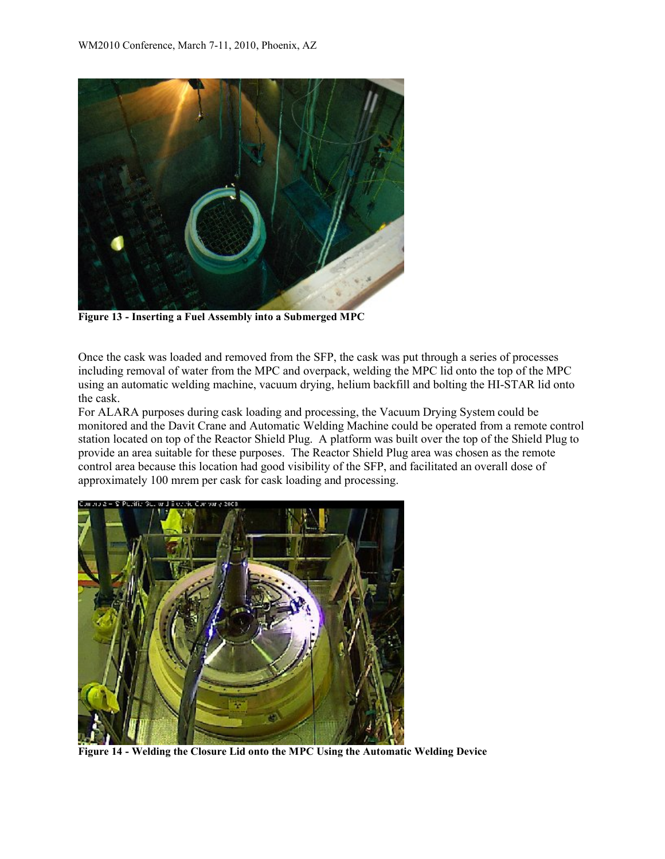![](_page_10_Picture_1.jpeg)

**Figure 13 - Inserting a Fuel Assembly into a Submerged MPC**

Once the cask was loaded and removed from the SFP, the cask was put through a series of processes including removal of water from the MPC and overpack, welding the MPC lid onto the top of the MPC using an automatic welding machine, vacuum drying, helium backfill and bolting the HI-STAR lid onto the cask.

For ALARA purposes during cask loading and processing, the Vacuum Drying System could be monitored and the Davit Crane and Automatic Welding Machine could be operated from a remote control station located on top of the Reactor Shield Plug. A platform was built over the top of the Shield Plug to provide an area suitable for these purposes. The Reactor Shield Plug area was chosen as the remote control area because this location had good visibility of the SFP, and facilitated an overall dose of approximately 100 mrem per cask for cask loading and processing.

![](_page_10_Picture_5.jpeg)

**Figure 14 - Welding the Closure Lid onto the MPC Using the Automatic Welding Device**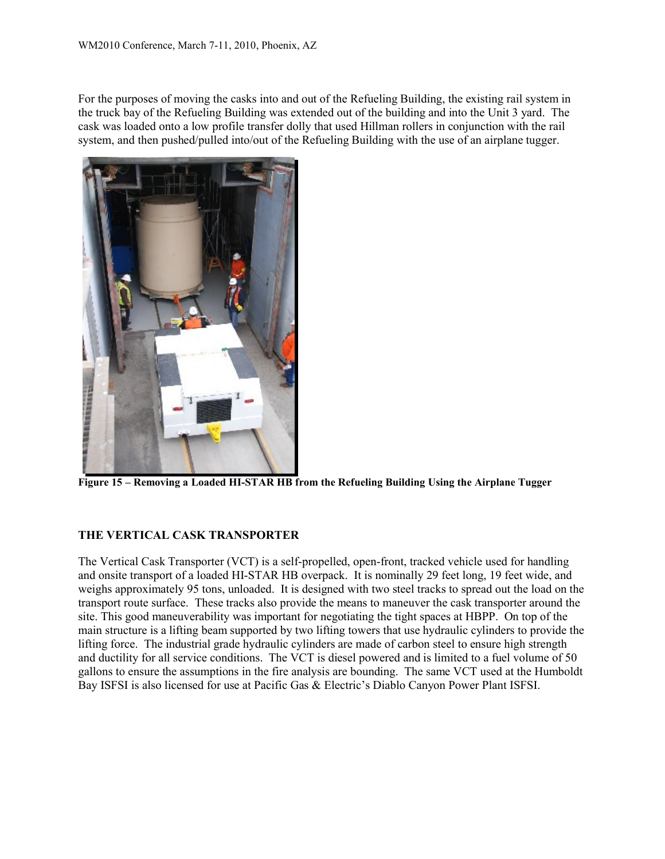For the purposes of moving the casks into and out of the Refueling Building, the existing rail system in the truck bay of the Refueling Building was extended out of the building and into the Unit 3 yard. The cask was loaded onto a low profile transfer dolly that used Hillman rollers in conjunction with the rail system, and then pushed/pulled into/out of the Refueling Building with the use of an airplane tugger.

![](_page_11_Picture_2.jpeg)

**Figure 15 – Removing a Loaded HI-STAR HB from the Refueling Building Using the Airplane Tugger**

#### **THE VERTICAL CASK TRANSPORTER**

The Vertical Cask Transporter (VCT) is a self-propelled, open-front, tracked vehicle used for handling and onsite transport of a loaded HI-STAR HB overpack. It is nominally 29 feet long, 19 feet wide, and weighs approximately 95 tons, unloaded. It is designed with two steel tracks to spread out the load on the transport route surface. These tracks also provide the means to maneuver the cask transporter around the site. This good maneuverability was important for negotiating the tight spaces at HBPP. On top of the main structure is a lifting beam supported by two lifting towers that use hydraulic cylinders to provide the lifting force. The industrial grade hydraulic cylinders are made of carbon steel to ensure high strength and ductility for all service conditions. The VCT is diesel powered and is limited to a fuel volume of 50 gallons to ensure the assumptions in the fire analysis are bounding. The same VCT used at the Humboldt Bay ISFSI is also licensed for use at Pacific Gas & Electric's Diablo Canyon Power Plant ISFSI.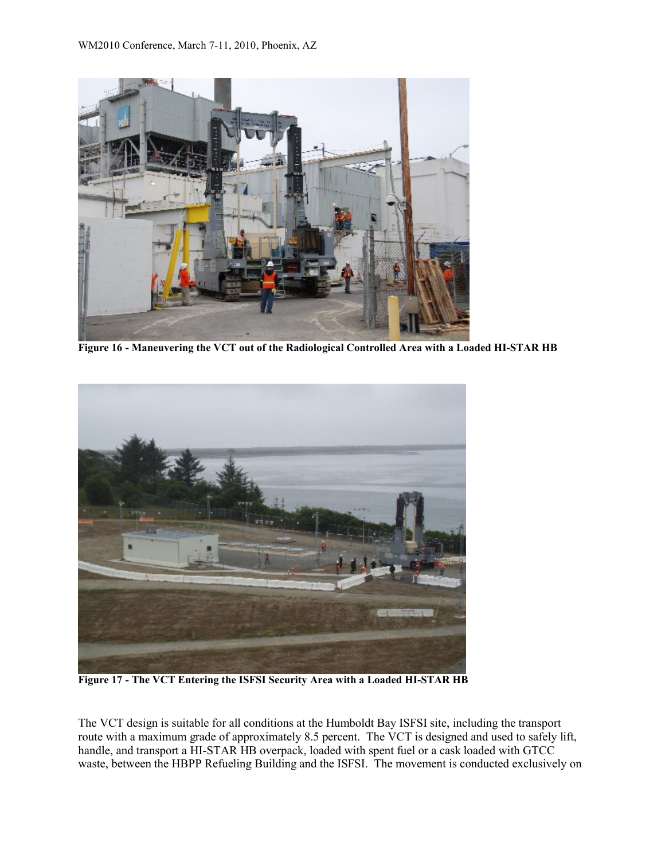![](_page_12_Picture_1.jpeg)

**Figure 16 - Maneuvering the VCT out of the Radiological Controlled Area with a Loaded HI-STAR HB**

![](_page_12_Picture_3.jpeg)

**Figure 17 - The VCT Entering the ISFSI Security Area with a Loaded HI-STAR HB**

The VCT design is suitable for all conditions at the Humboldt Bay ISFSI site, including the transport route with a maximum grade of approximately 8.5 percent. The VCT is designed and used to safely lift, handle, and transport a HI-STAR HB overpack, loaded with spent fuel or a cask loaded with GTCC waste, between the HBPP Refueling Building and the ISFSI. The movement is conducted exclusively on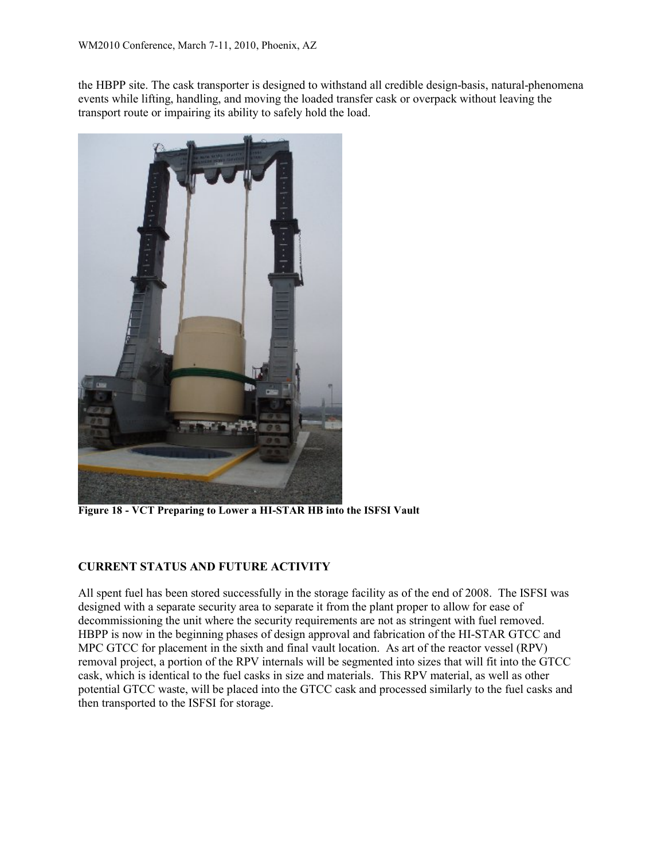the HBPP site. The cask transporter is designed to withstand all credible design-basis, natural-phenomena events while lifting, handling, and moving the loaded transfer cask or overpack without leaving the transport route or impairing its ability to safely hold the load.

![](_page_13_Picture_2.jpeg)

**Figure 18 - VCT Preparing to Lower a HI-STAR HB into the ISFSI Vault**

## **CURRENT STATUS AND FUTURE ACTIVITY**

All spent fuel has been stored successfully in the storage facility as of the end of 2008. The ISFSI was designed with a separate security area to separate it from the plant proper to allow for ease of decommissioning the unit where the security requirements are not as stringent with fuel removed. HBPP is now in the beginning phases of design approval and fabrication of the HI-STAR GTCC and MPC GTCC for placement in the sixth and final vault location. As art of the reactor vessel (RPV) removal project, a portion of the RPV internals will be segmented into sizes that will fit into the GTCC cask, which is identical to the fuel casks in size and materials. This RPV material, as well as other potential GTCC waste, will be placed into the GTCC cask and processed similarly to the fuel casks and then transported to the ISFSI for storage.